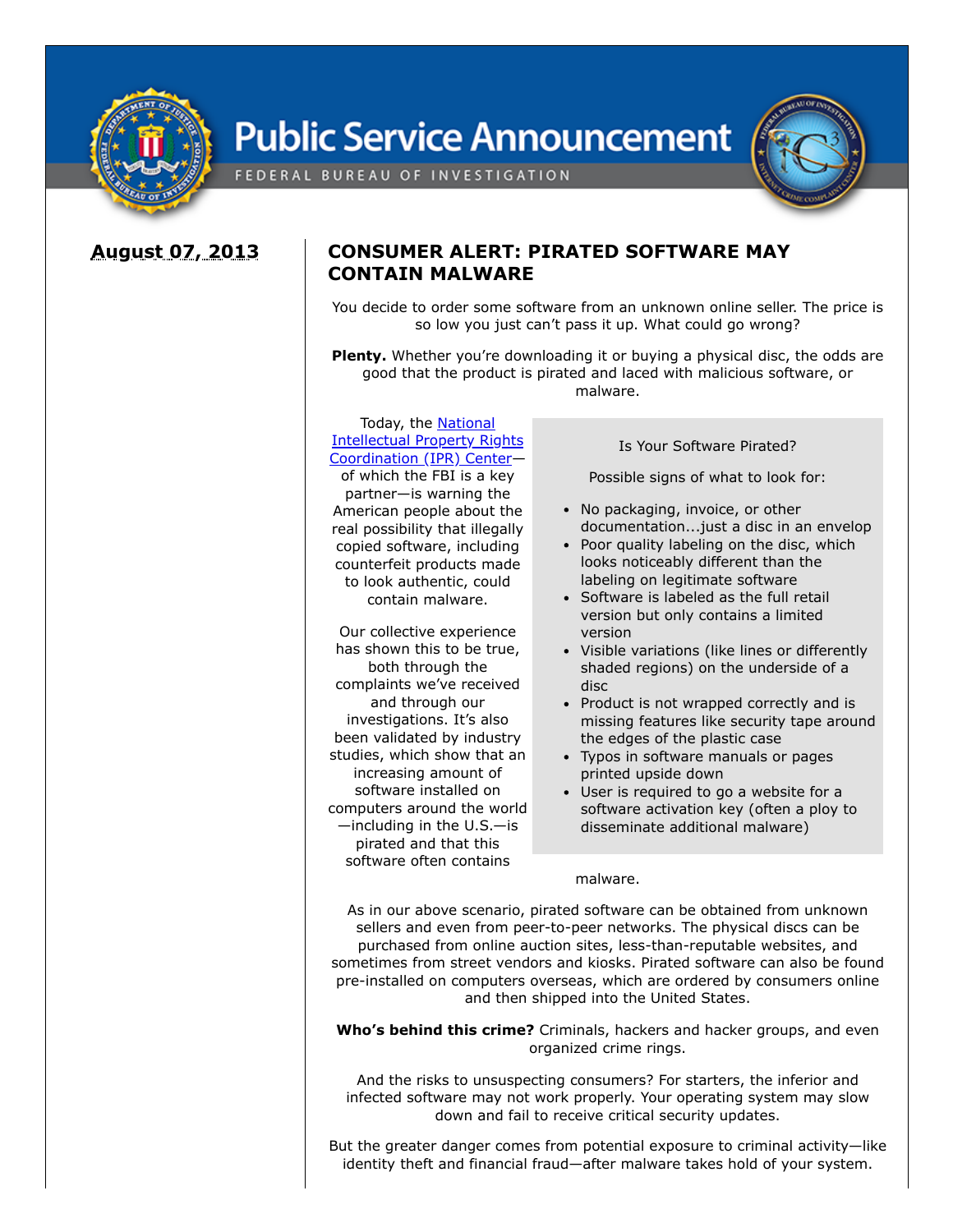

# **Public Service Announcement**



## **August 07, 2013**

## **CONSUMER ALERT: PIRATED SOFTWARE MAY CONTAIN MALWARE**

You decide to order some software from an unknown online seller. The price is so low you just can't pass it up. What could go wrong?

**Plenty.** Whether you're downloading it or buying a physical disc, the odds are good that the product is pirated and laced with malicious software, or malware.

#### Today, the National Intellectual Property Rights [Coordination](https://www.ic3.gov/egress.aspx?u=http%3a%2f%2fwww.iprcenter.gov%2f&h=18F5E4430AE8CD1C3DC6D14365F9248089783F87725828DD21BA68DD10685FA0) (IPR) Center—

of which the FBI is a key partner—is warning the American people about the real possibility that illegally copied software, including counterfeit products made to look authentic, could contain malware.

Our collective experience has shown this to be true, both through the complaints we've received and through our investigations. It's also been validated by industry studies, which show that an increasing amount of software installed on computers around the world —including in the U.S.—is pirated and that this software often contains

Is Your Software Pirated?

Possible signs of what to look for:

- No packaging, invoice, or other documentation...just a disc in an envelop
- Poor quality labeling on the disc, which looks noticeably different than the labeling on legitimate software
- Software is labeled as the full retail version but only contains a limited version
- Visible variations (like lines or differently shaded regions) on the underside of a disc
- Product is not wrapped correctly and is missing features like security tape around the edges of the plastic case
- Typos in software manuals or pages printed upside down
- User is required to go a website for a software activation key (often a ploy to disseminate additional malware)

#### malware.

As in our above scenario, pirated software can be obtained from unknown sellers and even from peer-to-peer networks. The physical discs can be purchased from online auction sites, less-than-reputable websites, and sometimes from street vendors and kiosks. Pirated software can also be found pre-installed on computers overseas, which are ordered by consumers online and then shipped into the United States.

**Who's behind this crime?** Criminals, hackers and hacker groups, and even organized crime rings.

And the risks to unsuspecting consumers? For starters, the inferior and infected software may not work properly. Your operating system may slow down and fail to receive critical security updates.

But the greater danger comes from potential exposure to criminal activity—like identity theft and financial fraud—after malware takes hold of your system.